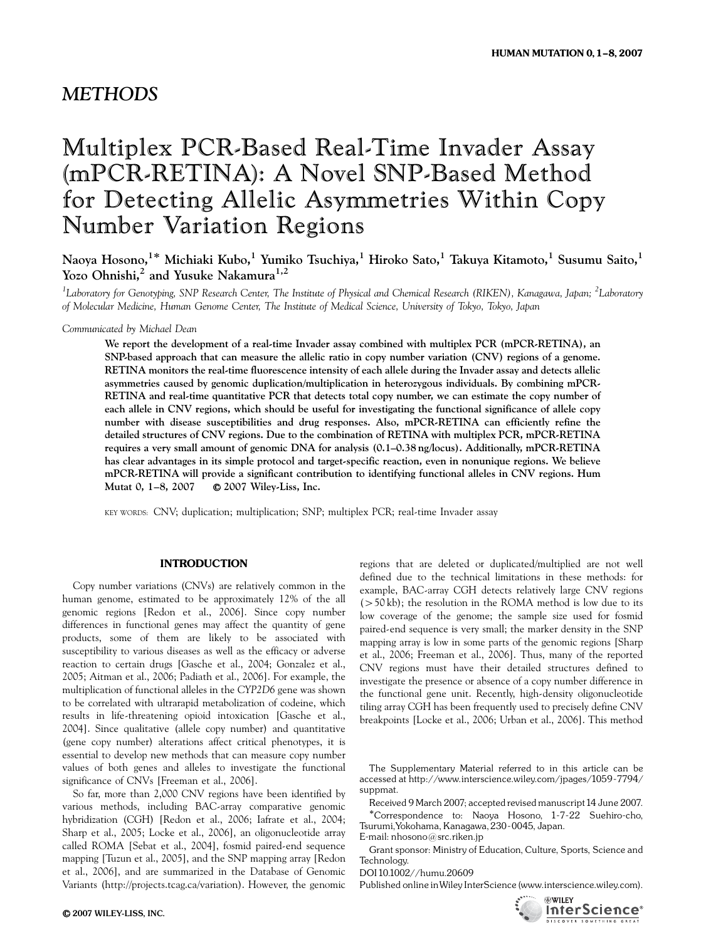# Multiplex PCR-Based Real-Time Invader Assay (mPCR-RETINA): A Novel SNP-Based Method for Detecting Allelic Asymmetries Within Copy Number Variation Regions

Naoya Hosono,<sup>1\*</sup> Michiaki Kubo,<sup>1</sup> Yumiko Tsuchiya,<sup>1</sup> Hiroko Sato,<sup>1</sup> Takuya Kitamoto,<sup>1</sup> Susumu Saito,<sup>1</sup> Yozo Ohnishi,<sup>2</sup> and Yusuke Nakamura<sup>1,2</sup>

<sup>1</sup>Laboratory for Genotyping, SNP Research Center, The Institute of Physical and Chemical Research (RIKEN), Kanagawa, Japan; <sup>2</sup>Laboratory of Molecular Medicine, Human Genome Center, The Institute of Medical Science, University of Tokyo, Tokyo, Japan

Communicated by Michael Dean

We report the development of a real-time Invader assay combined with multiplex PCR (mPCR-RETINA), an SNP-based approach that can measure the allelic ratio in copy number variation (CNV) regions of a genome. RETINA monitors the real-time fluorescence intensity of each allele during the Invader assay and detects allelic asymmetries caused by genomic duplication/multiplication in heterozygous individuals. By combining mPCR-RETINA and real-time quantitative PCR that detects total copy number, we can estimate the copy number of each allele in CNV regions, which should be useful for investigating the functional significance of allele copy number with disease susceptibilities and drug responses. Also, mPCR-RETINA can efficiently refine the detailed structures of CNV regions. Due to the combination of RETINA with multiplex PCR, mPCR-RETINA requires a very small amount of genomic DNA for analysis (0.1–0.38 ng/locus). Additionally, mPCR-RETINA has clear advantages in its simple protocol and target-specific reaction, even in nonunique regions. We believe mPCR-RETINA will provide a significant contribution to identifying functional alleles in CNV regions. Hum Mutat 0, 1–8, 2007 r 2007 Wiley-Liss, Inc.

KEY WORDS: CNV; duplication; multiplication; SNP; multiplex PCR; real-time Invader assay

#### INTRODUCTION

Copy number variations (CNVs) are relatively common in the human genome, estimated to be approximately 12% of the all genomic regions [Redon et al., 2006]. Since copy number differences in functional genes may affect the quantity of gene products, some of them are likely to be associated with susceptibility to various diseases as well as the efficacy or adverse reaction to certain drugs [Gasche et al., 2004; Gonzalez et al., 2005; Aitman et al., 2006; Padiath et al., 2006]. For example, the multiplication of functional alleles in the CYP2D6 gene was shown to be correlated with ultrarapid metabolization of codeine, which results in life-threatening opioid intoxication [Gasche et al., 2004]. Since qualitative (allele copy number) and quantitative (gene copy number) alterations affect critical phenotypes, it is essential to develop new methods that can measure copy number values of both genes and alleles to investigate the functional significance of CNVs [Freeman et al., 2006].

So far, more than 2,000 CNV regions have been identified by various methods, including BAC-array comparative genomic hybridization (CGH) [Redon et al., 2006; Iafrate et al., 2004; Sharp et al., 2005; Locke et al., 2006], an oligonucleotide array called ROMA [Sebat et al., 2004], fosmid paired-end sequence mapping [Tuzun et al., 2005], and the SNP mapping array [Redon et al., 2006], and are summarized in the Database of Genomic Variants (http://projects.tcag.ca/variation). However, the genomic

regions that are deleted or duplicated/multiplied are not well defined due to the technical limitations in these methods: for example, BAC-array CGH detects relatively large CNV regions  $(50 \text{ kb})$ ; the resolution in the ROMA method is low due to its low coverage of the genome; the sample size used for fosmid paired-end sequence is very small; the marker density in the SNP mapping array is low in some parts of the genomic regions [Sharp et al., 2006; Freeman et al., 2006]. Thus, many of the reported CNV regions must have their detailed structures defined to investigate the presence or absence of a copy number difference in the functional gene unit. Recently, high-density oligonucleotide tiling array CGH has been frequently used to precisely define CNV breakpoints [Locke et al., 2006; Urban et al., 2006]. This method

The Supplementary Material referred to in this article can be accessed at http://www.interscience.wiley.com/jpages/1059-7794/ suppmat.

Received 9 March 2007; accepted revised manuscript 14 June 2007. Correspondence to: Naoya Hosono, 1-7-22 Suehiro-cho, Tsurumi,Yokohama, Kanagawa,230-0045, Japan. E-mail: nhosono@src.riken.jp

Grant sponsor: Ministry of Education, Culture, Sports, Science and Technology.

DOI 10.1002//humu.20609

Published online inWiley InterScience (www.interscience.wiley.com).

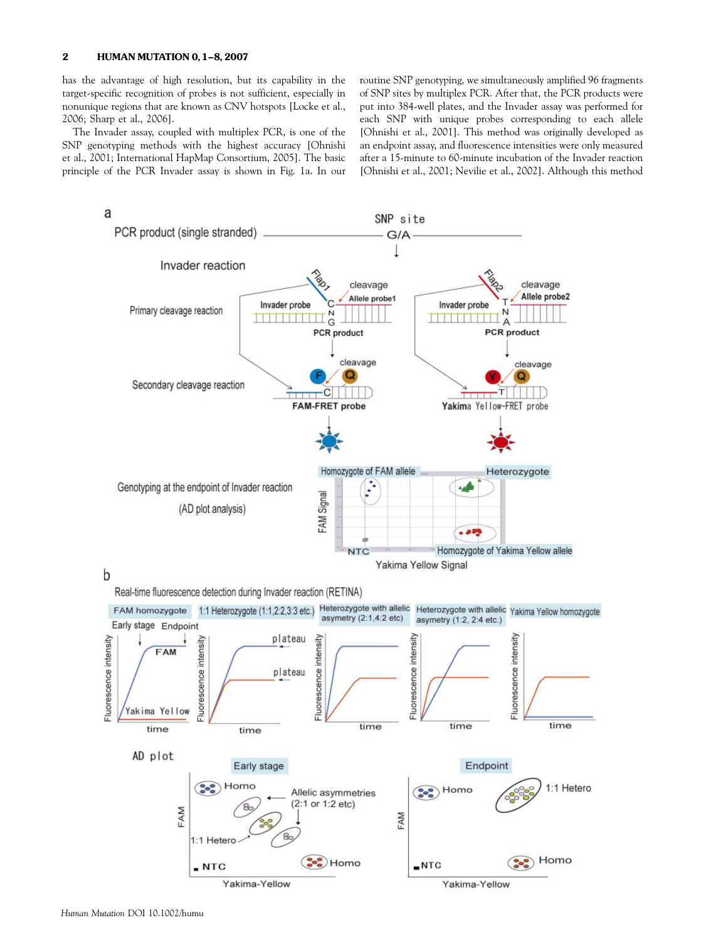## 2 **HUMAN MUTATION 0, 1-8, 2007**

has the advantage of high resolution, but its capability in the target-specific recognition of probes is not sufficient, especially in nonunique regions that are known as CNV hotspots [Locke et al., 2006; Sharp et al., 2006].

The Invader assay, coupled with multiplex PCR, is one of the SNP genotyping methods with the highest accuracy [Ohnishi et al., 2001; International HapMap Consortium, 2005]. The basic principle of the PCR Invader assay is shown in Fig. 1a. In our routine SNP genotyping, we simultaneously amplified 96 fragments of SNP sites by multiplex PCR. After that, the PCR products were put into 384-well plates, and the Invader assay was performed for each SNP with unique probes corresponding to each allele [Ohnishi et al., 2001]. This method was originally developed as an endpoint assay, and fluorescence intensities were only measured after a 15-minute to 60-minute incubation of the Invader reaction [Ohnishi et al., 2001; Nevilie et al., 2002]. Although this method

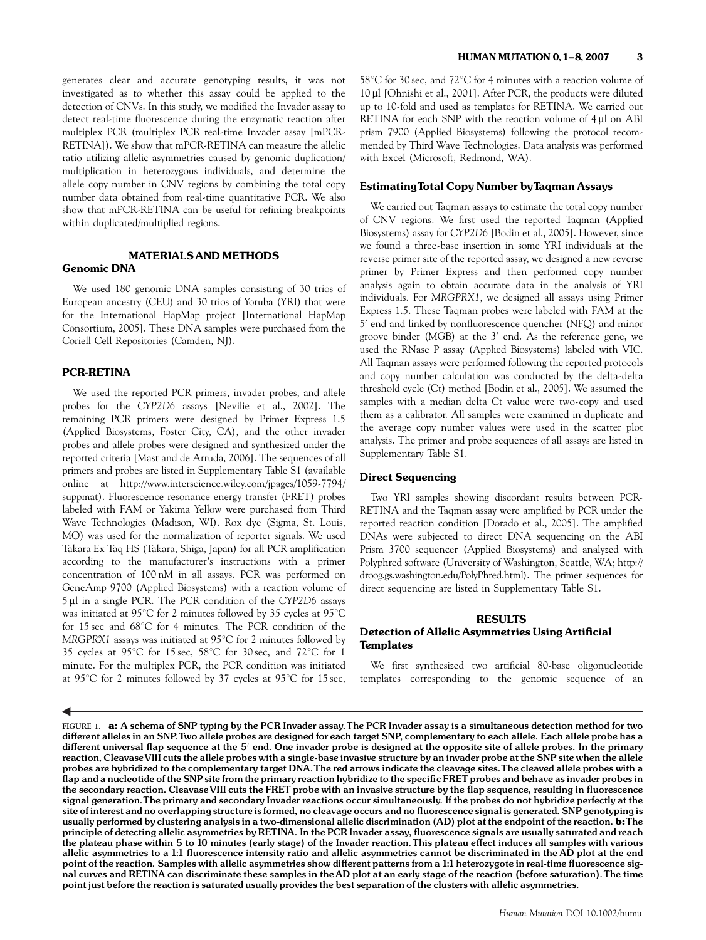generates clear and accurate genotyping results, it was not investigated as to whether this assay could be applied to the detection of CNVs. In this study, we modified the Invader assay to detect real-time fluorescence during the enzymatic reaction after multiplex PCR (multiplex PCR real-time Invader assay [mPCR-RETINA]). We show that mPCR-RETINA can measure the allelic ratio utilizing allelic asymmetries caused by genomic duplication/ multiplication in heterozygous individuals, and determine the allele copy number in CNV regions by combining the total copy number data obtained from real-time quantitative PCR. We also show that mPCR-RETINA can be useful for refining breakpoints within duplicated/multiplied regions.

# MATERIALS AND METHODS Genomic DNA

We used 180 genomic DNA samples consisting of 30 trios of European ancestry (CEU) and 30 trios of Yoruba (YRI) that were for the International HapMap project [International HapMap Consortium, 2005]. These DNA samples were purchased from the Coriell Cell Repositories (Camden, NJ).

# PCR-RETINA

We used the reported PCR primers, invader probes, and allele probes for the CYP2D6 assays [Nevilie et al., 2002]. The remaining PCR primers were designed by Primer Express 1.5 (Applied Biosystems, Foster City, CA), and the other invader probes and allele probes were designed and synthesized under the reported criteria [Mast and de Arruda, 2006]. The sequences of all primers and probes are listed in Supplementary Table S1 (available online at http://www.interscience.wiley.com/jpages/1059-7794/ suppmat). Fluorescence resonance energy transfer (FRET) probes labeled with FAM or Yakima Yellow were purchased from Third Wave Technologies (Madison, WI). Rox dye (Sigma, St. Louis, MO) was used for the normalization of reporter signals. We used Takara Ex Taq HS (Takara, Shiga, Japan) for all PCR amplification according to the manufacturer's instructions with a primer concentration of 100 nM in all assays. PCR was performed on GeneAmp 9700 (Applied Biosystems) with a reaction volume of 5 µl in a single PCR. The PCR condition of the CYP2D6 assays was initiated at 95 $^{\circ}$ C for 2 minutes followed by 35 cycles at 95 $^{\circ}$ C for  $15 \text{ sec}$  and  $68^{\circ}\text{C}$  for 4 minutes. The PCR condition of the MRGPRX1 assays was initiated at  $95^{\circ}$ C for 2 minutes followed by 35 cycles at 95°C for 15 sec, 58°C for 30 sec, and 72°C for 1 minute. For the multiplex PCR, the PCR condition was initiated at 95 $\degree$ C for 2 minutes followed by 37 cycles at 95 $\degree$ C for 15 sec,

 $58^{\circ}$ C for 30 sec, and  $72^{\circ}$ C for 4 minutes with a reaction volume of 10 ml [Ohnishi et al., 2001]. After PCR, the products were diluted up to 10-fold and used as templates for RETINA. We carried out RETINA for each SNP with the reaction volume of 4 µl on ABI prism 7900 (Applied Biosystems) following the protocol recommended by Third Wave Technologies. Data analysis was performed with Excel (Microsoft, Redmond, WA).

#### EstimatingTotal Copy Number byTaqman Assays

We carried out Taqman assays to estimate the total copy number of CNV regions. We first used the reported Taqman (Applied Biosystems) assay for CYP2D6 [Bodin et al., 2005]. However, since we found a three-base insertion in some YRI individuals at the reverse primer site of the reported assay, we designed a new reverse primer by Primer Express and then performed copy number analysis again to obtain accurate data in the analysis of YRI individuals. For MRGPRX1, we designed all assays using Primer Express 1.5. These Taqman probes were labeled with FAM at the 5' end and linked by nonfluorescence quencher (NFQ) and minor groove binder (MGB) at the  $3'$  end. As the reference gene, we used the RNase P assay (Applied Biosystems) labeled with VIC. All Taqman assays were performed following the reported protocols and copy number calculation was conducted by the delta-delta threshold cycle (Ct) method [Bodin et al., 2005]. We assumed the samples with a median delta Ct value were two-copy and used them as a calibrator. All samples were examined in duplicate and the average copy number values were used in the scatter plot analysis. The primer and probe sequences of all assays are listed in Supplementary Table S1.

#### Direct Sequencing

Two YRI samples showing discordant results between PCR-RETINA and the Taqman assay were amplified by PCR under the reported reaction condition [Dorado et al., 2005]. The amplified DNAs were subjected to direct DNA sequencing on the ABI Prism 3700 sequencer (Applied Biosystems) and analyzed with Polyphred software (University of Washington, Seattle, WA; http:// droog.gs.washington.edu/PolyPhred.html). The primer sequences for direct sequencing are listed in Supplementary Table S1.

### RESULTS

# Detection of Allelic Asymmetries Using Artificial **Templates**

We first synthesized two artificial 80-base oligonucleotide templates corresponding to the genomic sequence of an

FIGURE 1. a: A schema of SNP typing by the PCR Invader assay. The PCR Invader assay is a simultaneous detection method for two different alleles in an SNP. Two allele probes are designed for each target SNP, complementary to each allele. Each allele probe has a different universal flap sequence at the 5' end. One invader probe is designed at the opposite site of allele probes. In the primary reaction, CleavaseVIII cuts the allele probes with a single-base invasive structure by an invader probe at the SNP site when the allele probes are hybridized to the complementary target DNA.The red arrows indicate the cleavage sites.The cleaved allele probes with a flap and a nucleotide of the SNP site from the primary reaction hybridize to the specific FRET probes and behave as invader probes in the secondary reaction. Cleavase VIII cuts the FRET probe with an invasive structure by the flap sequence, resulting in fluorescence signal generation.The primary and secondary Invader reactions occur simultaneously. If the probes do not hybridize perfectly at the site of interest and no overlapping structure is formed, no cleavage occurs and no fluorescence signal is generated. SNP genotyping is usually performed by clustering analysis in a two-dimensional allelic discrimination (AD) plot at the endpoint of the reaction. b:The principle of detecting allelic asymmetries by RETINA. In the PCR Invader assay, fluorescence signals are usually saturated and reach the plateau phase within 5 to 10 minutes (early stage) of the Invader reaction. This plateau effect induces all samples with various allelic asymmetries to a 1:1 fluorescence intensity ratio and allelic asymmetries cannot be discriminated in the AD plot at the end point of the reaction. Samples with allelic asymmetries show different patterns from a 1:1 heterozygote in real-time fluorescence signal curves and RETINA can discriminate these samples in the AD plot at an early stage of the reaction (before saturation).The time point just before the reaction is saturated usually provides the best separation of the clusters with allelic asymmetries.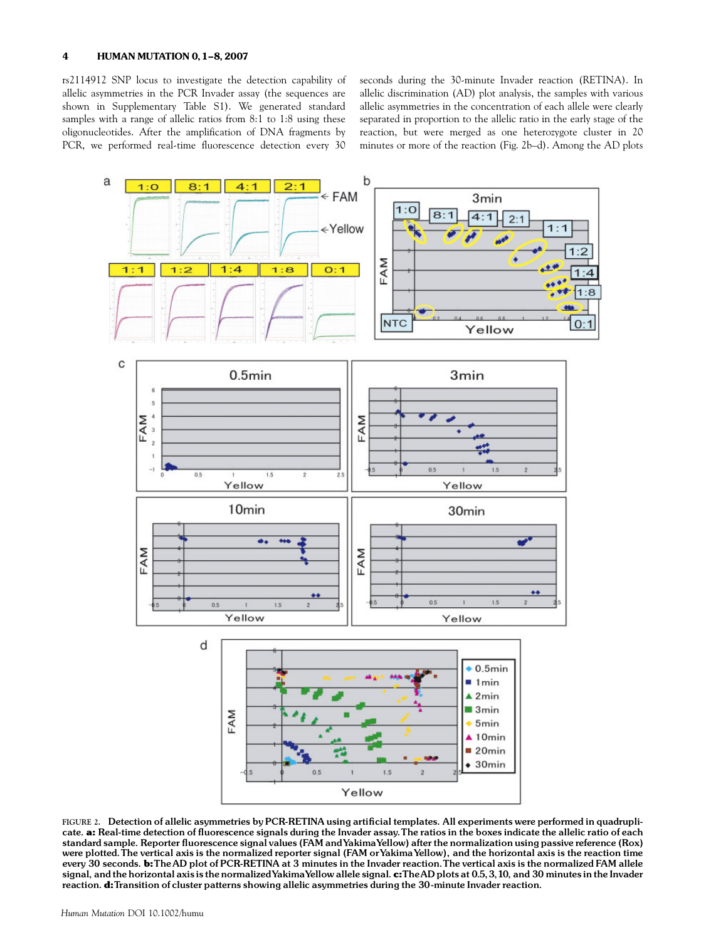rs2114912 SNP locus to investigate the detection capability of allelic asymmetries in the PCR Invader assay (the sequences are shown in Supplementary Table S1). We generated standard samples with a range of allelic ratios from 8:1 to 1:8 using these oligonucleotides. After the amplification of DNA fragments by PCR, we performed real-time fluorescence detection every 30

seconds during the 30-minute Invader reaction (RETINA). In allelic discrimination (AD) plot analysis, the samples with various allelic asymmetries in the concentration of each allele were clearly separated in proportion to the allelic ratio in the early stage of the reaction, but were merged as one heterozygote cluster in 20 minutes or more of the reaction (Fig. 2b–d). Among the AD plots



FIGURE 2. Detection of allelic asymmetries by PCR-RETINA using artificial templates. All experiments were performed in quadruplicate. a: Real-time detection of fluorescence signals during the Invader assay. The ratios in the boxes indicate the allelic ratio of each standard sample. Reporter fluorescence signal values (FAM and YakimaYellow) after the normalization using passive reference (Rox) were plotted. The vertical axis is the normalized reporter signal (FAM or Yakima Yellow), and the horizontal axis is the reaction time every 30 seconds. b:TheAD plot of PCR-RETINA at 3 minutes in the Invader reaction.The vertical axis is the normalized FAM allele signal, and the horizontal axis is the normalized Yakima Yellow allele signal. c:TheAD plots at 0.5, 3, 10, and 30 minutes in the Invader reaction. d:Transition of cluster patterns showing allelic asymmetries during the 30-minute Invader reaction.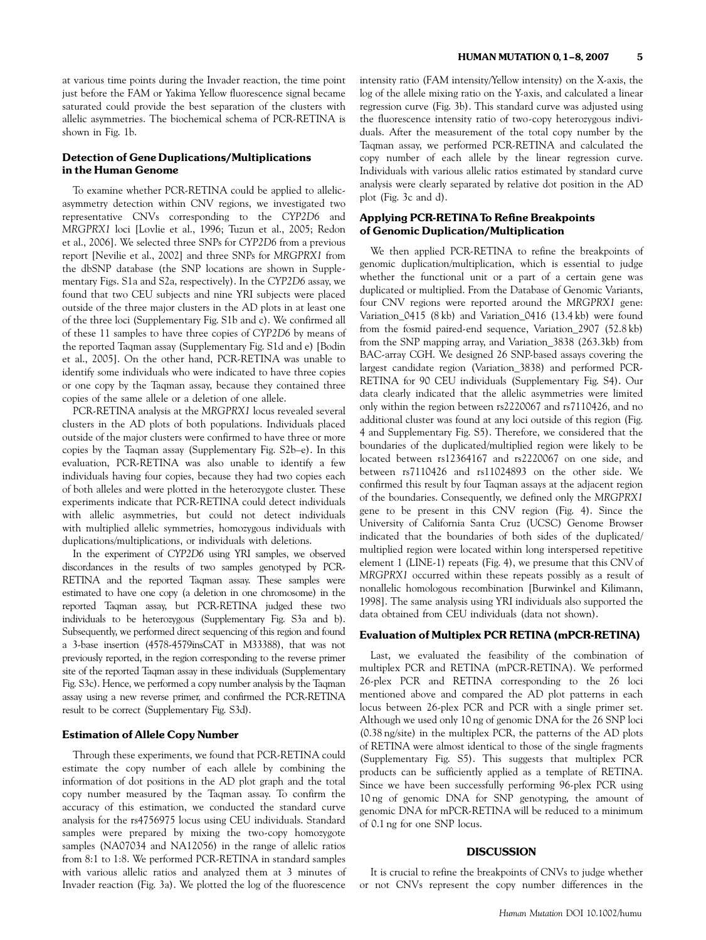at various time points during the Invader reaction, the time point just before the FAM or Yakima Yellow fluorescence signal became saturated could provide the best separation of the clusters with allelic asymmetries. The biochemical schema of PCR-RETINA is shown in Fig. 1b.

# Detection of Gene Duplications/Multiplications in the Human Genome

To examine whether PCR-RETINA could be applied to allelicasymmetry detection within CNV regions, we investigated two representative CNVs corresponding to the CYP2D6 and MRGPRX1 loci [Lovlie et al., 1996; Tuzun et al., 2005; Redon et al., 2006]. We selected three SNPs for CYP2D6 from a previous report [Nevilie et al., 2002] and three SNPs for MRGPRX1 from the dbSNP database (the SNP locations are shown in Supplementary Figs. S1a and S2a, respectively). In the CYP2D6 assay, we found that two CEU subjects and nine YRI subjects were placed outside of the three major clusters in the AD plots in at least one of the three loci (Supplementary Fig. S1b and c). We confirmed all of these 11 samples to have three copies of CYP2D6 by means of the reported Taqman assay (Supplementary Fig. S1d and e) [Bodin et al., 2005]. On the other hand, PCR-RETINA was unable to identify some individuals who were indicated to have three copies or one copy by the Taqman assay, because they contained three copies of the same allele or a deletion of one allele.

PCR-RETINA analysis at the MRGPRX1 locus revealed several clusters in the AD plots of both populations. Individuals placed outside of the major clusters were confirmed to have three or more copies by the Taqman assay (Supplementary Fig. S2b–e). In this evaluation, PCR-RETINA was also unable to identify a few individuals having four copies, because they had two copies each of both alleles and were plotted in the heterozygote cluster. These experiments indicate that PCR-RETINA could detect individuals with allelic asymmetries, but could not detect individuals with multiplied allelic symmetries, homozygous individuals with duplications/multiplications, or individuals with deletions.

In the experiment of CYP2D6 using YRI samples, we observed discordances in the results of two samples genotyped by PCR-RETINA and the reported Taqman assay. These samples were estimated to have one copy (a deletion in one chromosome) in the reported Taqman assay, but PCR-RETINA judged these two individuals to be heterozygous (Supplementary Fig. S3a and b). Subsequently, we performed direct sequencing of this region and found a 3-base insertion (4578-4579insCAT in M33388), that was not previously reported, in the region corresponding to the reverse primer site of the reported Taqman assay in these individuals (Supplementary Fig. S3c). Hence, we performed a copy number analysis by the Taqman assay using a new reverse primer, and confirmed the PCR-RETINA result to be correct (Supplementary Fig. S3d).

# Estimation of Allele Copy Number

Through these experiments, we found that PCR-RETINA could estimate the copy number of each allele by combining the information of dot positions in the AD plot graph and the total copy number measured by the Taqman assay. To confirm the accuracy of this estimation, we conducted the standard curve analysis for the rs4756975 locus using CEU individuals. Standard samples were prepared by mixing the two-copy homozygote samples (NA07034 and NA12056) in the range of allelic ratios from 8:1 to 1:8. We performed PCR-RETINA in standard samples with various allelic ratios and analyzed them at 3 minutes of Invader reaction (Fig. 3a). We plotted the log of the fluorescence intensity ratio (FAM intensity/Yellow intensity) on the X-axis, the log of the allele mixing ratio on the Y-axis, and calculated a linear regression curve (Fig. 3b). This standard curve was adjusted using the fluorescence intensity ratio of two-copy heterozygous individuals. After the measurement of the total copy number by the Taqman assay, we performed PCR-RETINA and calculated the copy number of each allele by the linear regression curve. Individuals with various allelic ratios estimated by standard curve analysis were clearly separated by relative dot position in the AD plot (Fig. 3c and d).

# Applying PCR-RETINA To Refine Breakpoints of Genomic Duplication/Multiplication

We then applied PCR-RETINA to refine the breakpoints of genomic duplication/multiplication, which is essential to judge whether the functional unit or a part of a certain gene was duplicated or multiplied. From the Database of Genomic Variants, four CNV regions were reported around the MRGPRX1 gene: Variation\_0415 (8 kb) and Variation\_0416 (13.4 kb) were found from the fosmid paired-end sequence, Variation\_2907 (52.8 kb) from the SNP mapping array, and Variation\_3838 (263.3kb) from BAC-array CGH. We designed 26 SNP-based assays covering the largest candidate region (Variation\_3838) and performed PCR-RETINA for 90 CEU individuals (Supplementary Fig. S4). Our data clearly indicated that the allelic asymmetries were limited only within the region between rs2220067 and rs7110426, and no additional cluster was found at any loci outside of this region (Fig. 4 and Supplementary Fig. S5). Therefore, we considered that the boundaries of the duplicated/multiplied region were likely to be located between rs12364167 and rs2220067 on one side, and between rs7110426 and rs11024893 on the other side. We confirmed this result by four Taqman assays at the adjacent region of the boundaries. Consequently, we defined only the MRGPRX1 gene to be present in this CNV region (Fig. 4). Since the University of California Santa Cruz (UCSC) Genome Browser indicated that the boundaries of both sides of the duplicated/ multiplied region were located within long interspersed repetitive element 1 (LINE-1) repeats (Fig. 4), we presume that this CNV of MRGPRX1 occurred within these repeats possibly as a result of nonallelic homologous recombination [Burwinkel and Kilimann, 1998]. The same analysis using YRI individuals also supported the data obtained from CEU individuals (data not shown).

#### Evaluation of Multiplex PCR RETINA (mPCR-RETINA)

Last, we evaluated the feasibility of the combination of multiplex PCR and RETINA (mPCR-RETINA). We performed 26-plex PCR and RETINA corresponding to the 26 loci mentioned above and compared the AD plot patterns in each locus between 26-plex PCR and PCR with a single primer set. Although we used only 10 ng of genomic DNA for the 26 SNP loci (0.38 ng/site) in the multiplex PCR, the patterns of the AD plots of RETINA were almost identical to those of the single fragments (Supplementary Fig. S5). This suggests that multiplex PCR products can be sufficiently applied as a template of RETINA. Since we have been successfully performing 96-plex PCR using 10 ng of genomic DNA for SNP genotyping, the amount of genomic DNA for mPCR-RETINA will be reduced to a minimum of 0.1 ng for one SNP locus.

#### **DISCUSSION**

It is crucial to refine the breakpoints of CNVs to judge whether or not CNVs represent the copy number differences in the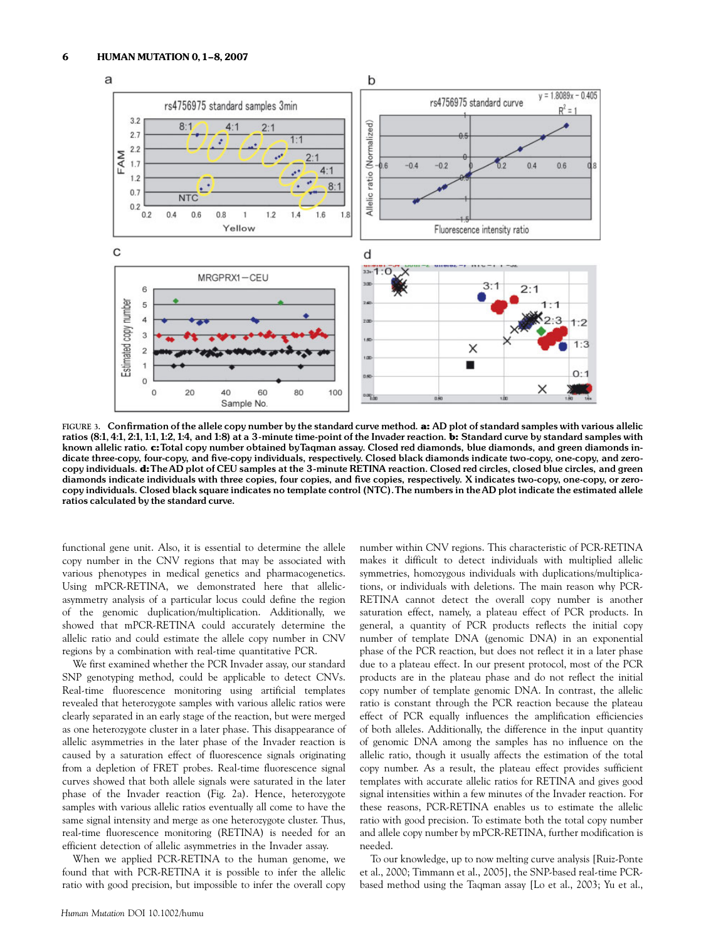

FIGURE 3. Confirmation of the allele copy number by the standard curve method. a: AD plot of standard samples with various allelic ratios (8:1, 4:1, 2:1, 1:1, 1:2, 1:4, and 1:8) at a 3-minute time-point of the Invader reaction. b: Standard curve by standard samples with known allelic ratio. c:Total copy number obtained byTaqman assay. Closed red diamonds, blue diamonds, and green diamonds indicate three-copy, four-copy, and ¢ve-copy individuals, respectively. Closed black diamonds indicate two-copy, one-copy, and zerocopy individuals. d:The AD plot of CEU samples at the 3-minute RETINA reaction. Closed red circles, closed blue circles, and green diamonds indicate individuals with three copies, four copies, and five copies, respectively. X indicates two-copy, one-copy, or zerocopy individuals. Closed black square indicates no template control (NTC).The numbers in theAD plot indicate the estimated allele ratios calculated by the standard curve.

functional gene unit. Also, it is essential to determine the allele copy number in the CNV regions that may be associated with various phenotypes in medical genetics and pharmacogenetics. Using mPCR-RETINA, we demonstrated here that allelicasymmetry analysis of a particular locus could define the region of the genomic duplication/multiplication. Additionally, we showed that mPCR-RETINA could accurately determine the allelic ratio and could estimate the allele copy number in CNV regions by a combination with real-time quantitative PCR.

We first examined whether the PCR Invader assay, our standard SNP genotyping method, could be applicable to detect CNVs. Real-time fluorescence monitoring using artificial templates revealed that heterozygote samples with various allelic ratios were clearly separated in an early stage of the reaction, but were merged as one heterozygote cluster in a later phase. This disappearance of allelic asymmetries in the later phase of the Invader reaction is caused by a saturation effect of fluorescence signals originating from a depletion of FRET probes. Real-time fluorescence signal curves showed that both allele signals were saturated in the later phase of the Invader reaction (Fig. 2a). Hence, heterozygote samples with various allelic ratios eventually all come to have the same signal intensity and merge as one heterozygote cluster. Thus, real-time fluorescence monitoring (RETINA) is needed for an efficient detection of allelic asymmetries in the Invader assay.

When we applied PCR-RETINA to the human genome, we found that with PCR-RETINA it is possible to infer the allelic ratio with good precision, but impossible to infer the overall copy

number within CNV regions. This characteristic of PCR-RETINA makes it difficult to detect individuals with multiplied allelic symmetries, homozygous individuals with duplications/multiplications, or individuals with deletions. The main reason why PCR-RETINA cannot detect the overall copy number is another saturation effect, namely, a plateau effect of PCR products. In general, a quantity of PCR products reflects the initial copy number of template DNA (genomic DNA) in an exponential phase of the PCR reaction, but does not reflect it in a later phase due to a plateau effect. In our present protocol, most of the PCR products are in the plateau phase and do not reflect the initial copy number of template genomic DNA. In contrast, the allelic ratio is constant through the PCR reaction because the plateau effect of PCR equally influences the amplification efficiencies of both alleles. Additionally, the difference in the input quantity of genomic DNA among the samples has no influence on the allelic ratio, though it usually affects the estimation of the total copy number. As a result, the plateau effect provides sufficient templates with accurate allelic ratios for RETINA and gives good signal intensities within a few minutes of the Invader reaction. For these reasons, PCR-RETINA enables us to estimate the allelic ratio with good precision. To estimate both the total copy number and allele copy number by mPCR-RETINA, further modification is needed.

To our knowledge, up to now melting curve analysis [Ruiz-Ponte et al., 2000; Timmann et al., 2005], the SNP-based real-time PCRbased method using the Taqman assay [Lo et al., 2003; Yu et al.,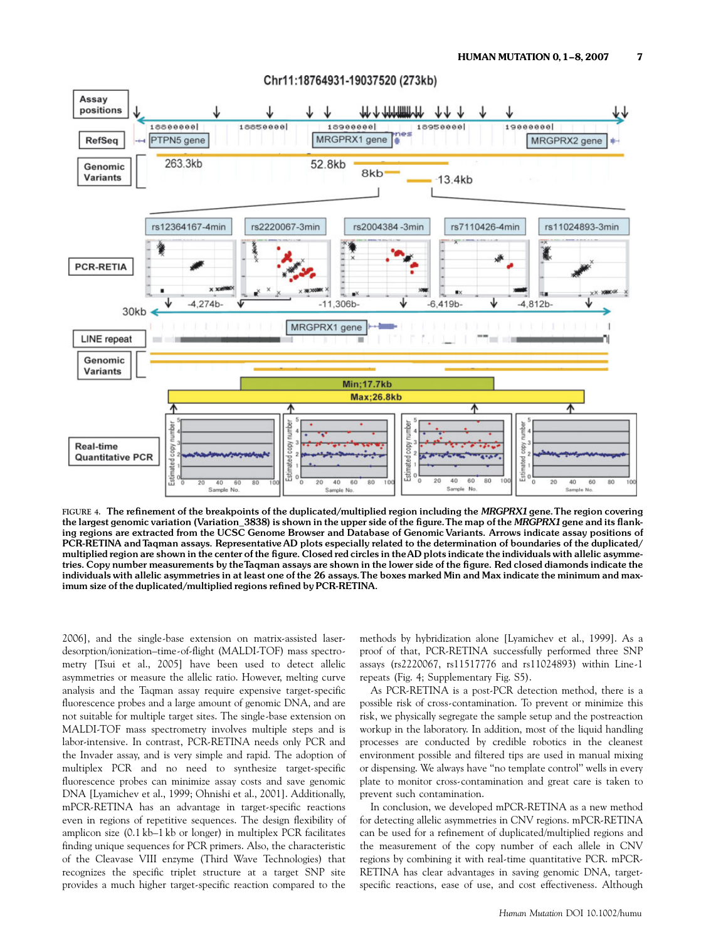

# Chr11:18764931-19037520 (273kb)

FIGURE 4. The refinement of the breakpoints of the duplicated/multiplied region including the MRGPRX1 gene. The region covering the largest genomic variation (Variation\_3838) is shown in the upper side of the figure. The map of the MRGPRX1 gene and its flanking regions are extracted from the UCSC Genome Browser and Database of Genomic Variants. Arrows indicate assay positions of PCR-RETINA and Taqman assays. Representative AD plots especially related to the determination of boundaries of the duplicated/ multiplied region are shown in the center of the figure. Closed red circles in theAD plots indicate the individuals with allelic asymmetries. Copy number measurements by the Taqman assays are shown in the lower side of the figure. Red closed diamonds indicate the individuals with allelic asymmetries in at least one of the 26 assays.The boxes marked Min and Max indicate the minimum and maximum size of the duplicated/multiplied regions refined by PCR-RETINA.

2006], and the single-base extension on matrix-assisted laserdesorption/ionization–time-of-flight (MALDI-TOF) mass spectrometry [Tsui et al., 2005] have been used to detect allelic asymmetries or measure the allelic ratio. However, melting curve analysis and the Taqman assay require expensive target-specific fluorescence probes and a large amount of genomic DNA, and are not suitable for multiple target sites. The single-base extension on MALDI-TOF mass spectrometry involves multiple steps and is labor-intensive. In contrast, PCR-RETINA needs only PCR and the Invader assay, and is very simple and rapid. The adoption of multiplex PCR and no need to synthesize target-specific fluorescence probes can minimize assay costs and save genomic DNA [Lyamichev et al., 1999; Ohnishi et al., 2001]. Additionally, mPCR-RETINA has an advantage in target-specific reactions even in regions of repetitive sequences. The design flexibility of amplicon size (0.1 kb–1 kb or longer) in multiplex PCR facilitates finding unique sequences for PCR primers. Also, the characteristic of the Cleavase VIII enzyme (Third Wave Technologies) that recognizes the specific triplet structure at a target SNP site provides a much higher target-specific reaction compared to the

methods by hybridization alone [Lyamichev et al., 1999]. As a proof of that, PCR-RETINA successfully performed three SNP assays (rs2220067, rs11517776 and rs11024893) within Line-1 repeats (Fig. 4; Supplementary Fig. S5).

As PCR-RETINA is a post-PCR detection method, there is a possible risk of cross-contamination. To prevent or minimize this risk, we physically segregate the sample setup and the postreaction workup in the laboratory. In addition, most of the liquid handling processes are conducted by credible robotics in the cleanest environment possible and filtered tips are used in manual mixing or dispensing. We always have ''no template control'' wells in every plate to monitor cross-contamination and great care is taken to prevent such contamination.

In conclusion, we developed mPCR-RETINA as a new method for detecting allelic asymmetries in CNV regions. mPCR-RETINA can be used for a refinement of duplicated/multiplied regions and the measurement of the copy number of each allele in CNV regions by combining it with real-time quantitative PCR. mPCR-RETINA has clear advantages in saving genomic DNA, targetspecific reactions, ease of use, and cost effectiveness. Although